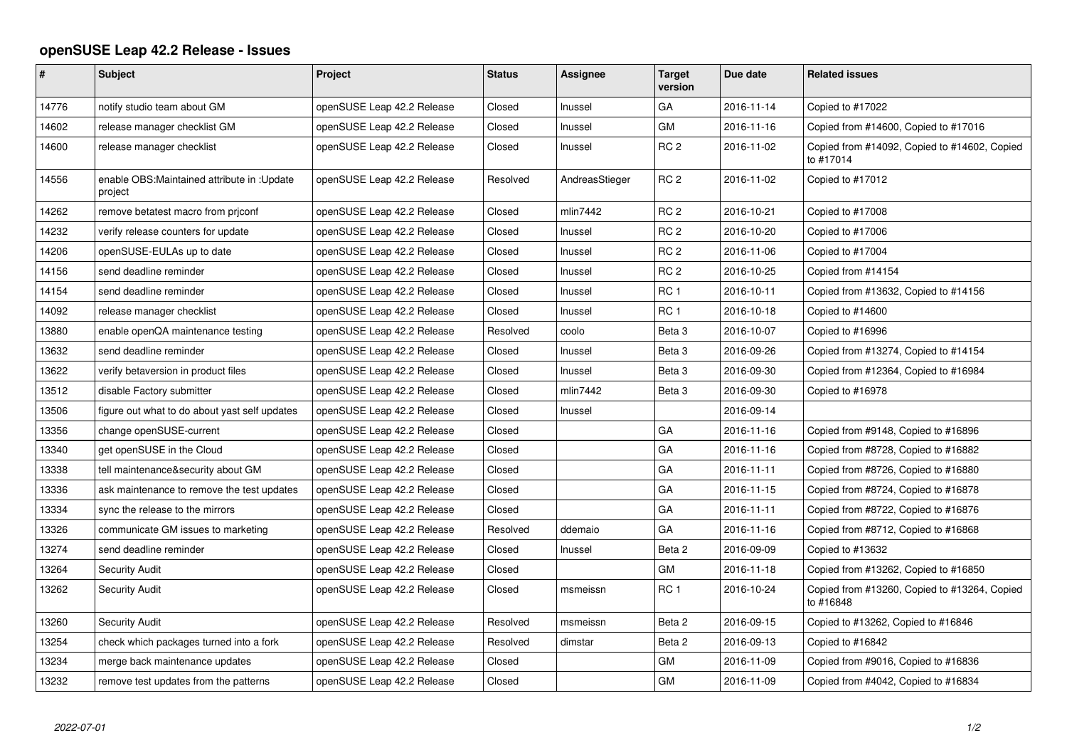## **openSUSE Leap 42.2 Release - Issues**

| #     | <b>Subject</b>                                          | Project                    | <b>Status</b> | <b>Assignee</b> | <b>Target</b><br>version | Due date   | <b>Related issues</b>                                     |
|-------|---------------------------------------------------------|----------------------------|---------------|-----------------|--------------------------|------------|-----------------------------------------------------------|
| 14776 | notify studio team about GM                             | openSUSE Leap 42.2 Release | Closed        | Inussel         | GА                       | 2016-11-14 | Copied to #17022                                          |
| 14602 | release manager checklist GM                            | openSUSE Leap 42.2 Release | Closed        | Inussel         | GМ                       | 2016-11-16 | Copied from #14600, Copied to #17016                      |
| 14600 | release manager checklist                               | openSUSE Leap 42.2 Release | Closed        | Inussel         | RC <sub>2</sub>          | 2016-11-02 | Copied from #14092, Copied to #14602, Copied<br>to #17014 |
| 14556 | enable OBS: Maintained attribute in : Update<br>project | openSUSE Leap 42.2 Release | Resolved      | AndreasStieger  | RC <sub>2</sub>          | 2016-11-02 | Copied to #17012                                          |
| 14262 | remove betatest macro from prjconf                      | openSUSE Leap 42.2 Release | Closed        | mlin7442        | RC <sub>2</sub>          | 2016-10-21 | Copied to #17008                                          |
| 14232 | verify release counters for update                      | openSUSE Leap 42.2 Release | Closed        | Inussel         | RC <sub>2</sub>          | 2016-10-20 | Copied to #17006                                          |
| 14206 | openSUSE-EULAs up to date                               | openSUSE Leap 42.2 Release | Closed        | Inussel         | RC <sub>2</sub>          | 2016-11-06 | Copied to #17004                                          |
| 14156 | send deadline reminder                                  | openSUSE Leap 42.2 Release | Closed        | Inussel         | RC <sub>2</sub>          | 2016-10-25 | Copied from #14154                                        |
| 14154 | send deadline reminder                                  | openSUSE Leap 42.2 Release | Closed        | Inussel         | RC <sub>1</sub>          | 2016-10-11 | Copied from #13632, Copied to #14156                      |
| 14092 | release manager checklist                               | openSUSE Leap 42.2 Release | Closed        | Inussel         | RC <sub>1</sub>          | 2016-10-18 | Copied to #14600                                          |
| 13880 | enable openQA maintenance testing                       | openSUSE Leap 42.2 Release | Resolved      | coolo           | Beta <sub>3</sub>        | 2016-10-07 | Copied to #16996                                          |
| 13632 | send deadline reminder                                  | openSUSE Leap 42.2 Release | Closed        | Inussel         | Beta <sub>3</sub>        | 2016-09-26 | Copied from #13274, Copied to #14154                      |
| 13622 | verify betaversion in product files                     | openSUSE Leap 42.2 Release | Closed        | Inussel         | Beta <sub>3</sub>        | 2016-09-30 | Copied from #12364, Copied to #16984                      |
| 13512 | disable Factory submitter                               | openSUSE Leap 42.2 Release | Closed        | mlin7442        | Beta <sub>3</sub>        | 2016-09-30 | Copied to #16978                                          |
| 13506 | figure out what to do about yast self updates           | openSUSE Leap 42.2 Release | Closed        | Inussel         |                          | 2016-09-14 |                                                           |
| 13356 | change openSUSE-current                                 | openSUSE Leap 42.2 Release | Closed        |                 | GA                       | 2016-11-16 | Copied from #9148, Copied to #16896                       |
| 13340 | get openSUSE in the Cloud                               | openSUSE Leap 42.2 Release | Closed        |                 | GA                       | 2016-11-16 | Copied from #8728, Copied to #16882                       |
| 13338 | tell maintenance&security about GM                      | openSUSE Leap 42.2 Release | Closed        |                 | GA                       | 2016-11-11 | Copied from #8726, Copied to #16880                       |
| 13336 | ask maintenance to remove the test updates              | openSUSE Leap 42.2 Release | Closed        |                 | GА                       | 2016-11-15 | Copied from #8724, Copied to #16878                       |
| 13334 | sync the release to the mirrors                         | openSUSE Leap 42.2 Release | Closed        |                 | GA                       | 2016-11-11 | Copied from #8722, Copied to #16876                       |
| 13326 | communicate GM issues to marketing                      | openSUSE Leap 42.2 Release | Resolved      | ddemaio         | GА                       | 2016-11-16 | Copied from #8712, Copied to #16868                       |
| 13274 | send deadline reminder                                  | openSUSE Leap 42.2 Release | Closed        | Inussel         | Beta <sub>2</sub>        | 2016-09-09 | Copied to #13632                                          |
| 13264 | <b>Security Audit</b>                                   | openSUSE Leap 42.2 Release | Closed        |                 | GМ                       | 2016-11-18 | Copied from #13262, Copied to #16850                      |
| 13262 | <b>Security Audit</b>                                   | openSUSE Leap 42.2 Release | Closed        | msmeissn        | RC <sub>1</sub>          | 2016-10-24 | Copied from #13260, Copied to #13264, Copied<br>to #16848 |
| 13260 | <b>Security Audit</b>                                   | openSUSE Leap 42.2 Release | Resolved      | msmeissn        | Beta 2                   | 2016-09-15 | Copied to #13262, Copied to #16846                        |
| 13254 | check which packages turned into a fork                 | openSUSE Leap 42.2 Release | Resolved      | dimstar         | Beta 2                   | 2016-09-13 | Copied to #16842                                          |
| 13234 | merge back maintenance updates                          | openSUSE Leap 42.2 Release | Closed        |                 | GM                       | 2016-11-09 | Copied from #9016, Copied to #16836                       |
| 13232 | remove test updates from the patterns                   | openSUSE Leap 42.2 Release | Closed        |                 | GM                       | 2016-11-09 | Copied from #4042, Copied to #16834                       |